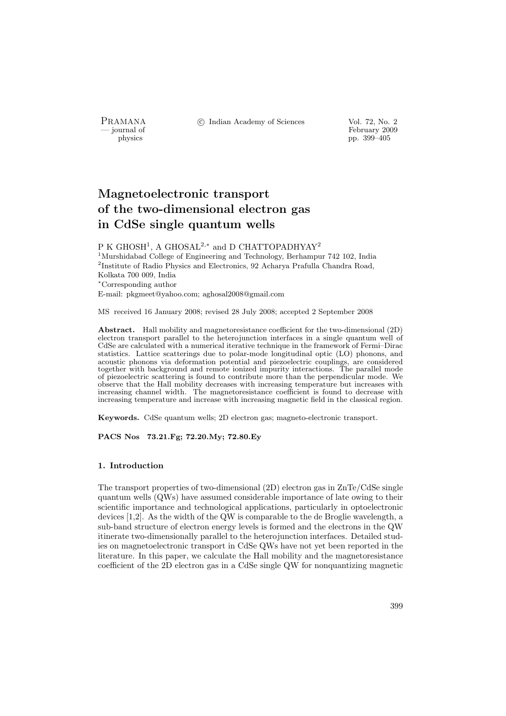PRAMANA °c Indian Academy of Sciences Vol. 72, No. 2

physics<br>
and the settlement of February 2009<br>
pp. 399–405<br>
pp. 399–405 physics pp. 399–405

# Magnetoelectronic transport of the two-dimensional electron gas in CdSe single quantum wells

P K GHOSH<sup>1</sup>, A GHOSAL<sup>2,∗</sup> and D CHATTOPADHYAY<sup>2</sup> <sup>1</sup>Murshidabad College of Engineering and Technology, Berhampur 742 102, India <sup>2</sup>Institute of Radio Physics and Electronics, 92 Acharya Prafulla Chandra Road, Kolkata 700 009, India <sup>∗</sup>Corresponding author E-mail: pkgmeet@yahoo.com; aghosal2008@gmail.com

MS received 16 January 2008; revised 28 July 2008; accepted 2 September 2008

Abstract. Hall mobility and magnetoresistance coefficient for the two-dimensional (2D) electron transport parallel to the heterojunction interfaces in a single quantum well of CdSe are calculated with a numerical iterative technique in the framework of Fermi–Dirac statistics. Lattice scatterings due to polar-mode longitudinal optic (LO) phonons, and acoustic phonons via deformation potential and piezoelectric couplings, are considered together with background and remote ionized impurity interactions. The parallel mode of piezoelectric scattering is found to contribute more than the perpendicular mode. We observe that the Hall mobility decreases with increasing temperature but increases with increasing channel width. The magnetoresistance coefficient is found to decrease with increasing temperature and increase with increasing magnetic field in the classical region.

Keywords. CdSe quantum wells; 2D electron gas; magneto-electronic transport.

PACS Nos 73.21.Fg; 72.20.My; 72.80.Ey

#### 1. Introduction

The transport properties of two-dimensional (2D) electron gas in ZnTe/CdSe single quantum wells (QWs) have assumed considerable importance of late owing to their scientific importance and technological applications, particularly in optoelectronic devices [1,2]. As the width of the QW is comparable to the de Broglie wavelength, a sub-band structure of electron energy levels is formed and the electrons in the QW itinerate two-dimensionally parallel to the heterojunction interfaces. Detailed studies on magnetoelectronic transport in CdSe QWs have not yet been reported in the literature. In this paper, we calculate the Hall mobility and the magnetoresistance coefficient of the 2D electron gas in a CdSe single QW for nonquantizing magnetic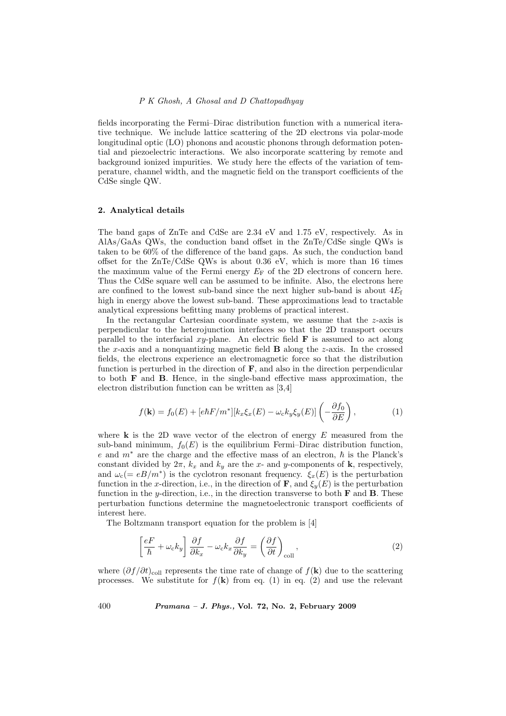### P K Ghosh, A Ghosal and D Chattopadhyay

fields incorporating the Fermi–Dirac distribution function with a numerical iterative technique. We include lattice scattering of the 2D electrons via polar-mode longitudinal optic (LO) phonons and acoustic phonons through deformation potential and piezoelectric interactions. We also incorporate scattering by remote and background ionized impurities. We study here the effects of the variation of temperature, channel width, and the magnetic field on the transport coefficients of the CdSe single QW.

### 2. Analytical details

The band gaps of ZnTe and CdSe are 2.34 eV and 1.75 eV, respectively. As in AlAs/GaAs QWs, the conduction band offset in the ZnTe/CdSe single QWs is taken to be 60% of the difference of the band gaps. As such, the conduction band offset for the ZnTe/CdSe QWs is about 0.36 eV, which is more than 16 times the maximum value of the Fermi energy  $E_F$  of the 2D electrons of concern here. Thus the CdSe square well can be assumed to be infinite. Also, the electrons here are confined to the lowest sub-band since the next higher sub-band is about  $4E_f$ high in energy above the lowest sub-band. These approximations lead to tractable analytical expressions befitting many problems of practical interest.

In the rectangular Cartesian coordinate system, we assume that the  $z$ -axis is perpendicular to the heterojunction interfaces so that the 2D transport occurs parallel to the interfacial  $xy$ -plane. An electric field  $\bf{F}$  is assumed to act along the  $x$ -axis and a nonquantizing magnetic field  $B$  along the  $z$ -axis. In the crossed fields, the electrons experience an electromagnetic force so that the distribution function is perturbed in the direction of  $\mathbf{F}$ , and also in the direction perpendicular to both F and B. Hence, in the single-band effective mass approximation, the electron distribution function can be written as [3,4]

$$
f(\mathbf{k}) = f_0(E) + [e\hbar F/m^*][k_x \xi_x(E) - \omega_c k_y \xi_y(E)] \left(-\frac{\partial f_0}{\partial E}\right),\tag{1}
$$

where  $k$  is the 2D wave vector of the electron of energy  $E$  measured from the sub-band minimum,  $f_0(E)$  is the equilibrium Fermi–Dirac distribution function, e and  $m^*$  are the charge and the effective mass of an electron,  $\hbar$  is the Planck's constant divided by  $2\pi$ ,  $k_x$  and  $k_y$  are the x- and y-components of **k**, respectively, and  $\omega_c (= eB/m^*)$  is the cyclotron resonant frequency.  $\xi_x(E)$  is the perturbation function in the x-direction, i.e., in the direction of **F**, and  $\xi_y(E)$  is the perturbation function in the y-direction, i.e., in the direction transverse to both  $\bf{F}$  and  $\bf{B}$ . These perturbation functions determine the magnetoelectronic transport coefficients of interest here.

The Boltzmann transport equation for the problem is [4]

$$
\left[\frac{eF}{\hbar} + \omega_{\rm c}k_y\right]\frac{\partial f}{\partial k_x} - \omega_{\rm c}k_x\frac{\partial f}{\partial k_y} = \left(\frac{\partial f}{\partial t}\right)_{\rm coll},\tag{2}
$$

where  $(\partial f / \partial t)_{\text{coll}}$  represents the time rate of change of  $f(\mathbf{k})$  due to the scattering processes. We substitute for  $f(\mathbf{k})$  from eq. (1) in eq. (2) and use the relevant

400  $Pramana - J. Phys., Vol. 72, No. 2, February 2009$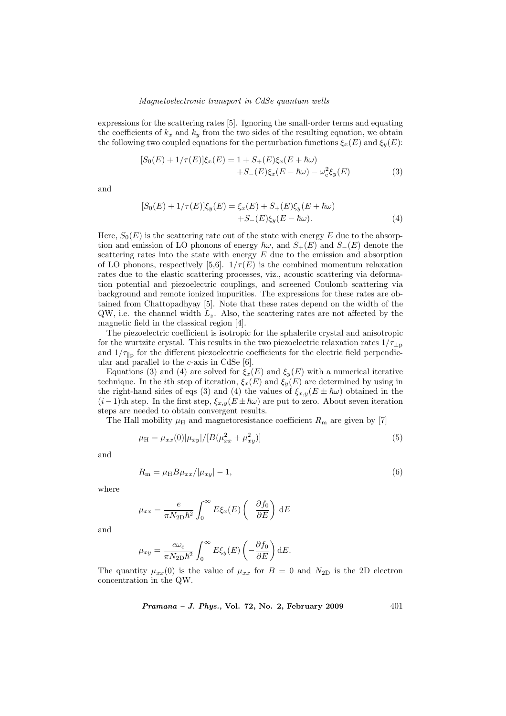#### Magnetoelectronic transport in CdSe quantum wells

expressions for the scattering rates [5]. Ignoring the small-order terms and equating the coefficients of  $k_x$  and  $k_y$  from the two sides of the resulting equation, we obtain the following two coupled equations for the perturbation functions  $\xi_x(E)$  and  $\xi_y(E)$ :

$$
[S_0(E) + 1/\tau(E)]\xi_x(E) = 1 + S_+(E)\xi_x(E + \hbar\omega) + S_-(E)\xi_x(E - \hbar\omega) - \omega_c^2 \xi_y(E)
$$
(3)

and

$$
[S_0(E) + 1/\tau(E)]\xi_y(E) = \xi_x(E) + S_+(E)\xi_y(E + \hbar\omega) + S_-(E)\xi_y(E - \hbar\omega).
$$
 (4)

Here,  $S_0(E)$  is the scattering rate out of the state with energy E due to the absorption and emission of LO phonons of energy  $\hbar\omega$ , and  $S_+(E)$  and  $S_-(E)$  denote the scattering rates into the state with energy  $E$  due to the emission and absorption of LO phonons, respectively [5,6].  $1/\tau(E)$  is the combined momentum relaxation rates due to the elastic scattering processes, viz., acoustic scattering via deformation potential and piezoelectric couplings, and screened Coulomb scattering via background and remote ionized impurities. The expressions for these rates are obtained from Chattopadhyay [5]. Note that these rates depend on the width of the  $QW$ , i.e. the channel width  $L_z$ . Also, the scattering rates are not affected by the magnetic field in the classical region [4].

The piezoelectric coefficient is isotropic for the sphalerite crystal and anisotropic for the wurtzite crystal. This results in the two piezoelectric relaxation rates  $1/\tau_{\text{Lp}}$ and  $1/\tau_{\text{lb}}$  for the different piezoelectric coefficients for the electric field perpendicular and parallel to the c-axis in CdSe [6].

Equations (3) and (4) are solved for  $\xi_x(E)$  and  $\xi_y(E)$  with a numerical iterative technique. In the *i*th step of iteration,  $\xi_x(E)$  and  $\xi_y(E)$  are determined by using in the right-hand sides of eqs (3) and (4) the values of  $\xi_{x,y}(E \pm \hbar \omega)$  obtained in the  $(i-1)$ th step. In the first step,  $\xi_{x,y}(E \pm \hbar \omega)$  are put to zero. About seven iteration steps are needed to obtain convergent results.

The Hall mobility  $\mu$ <sub>H</sub> and magnetoresistance coefficient  $R<sub>m</sub>$  are given by [7]

$$
\mu_{\rm H} = \mu_{xx}(0)|\mu_{xy}|/[B(\mu_{xx}^2 + \mu_{xy}^2)] \tag{5}
$$

and

$$
R_{\rm m} = \mu_{\rm H} B \mu_{xx} / |\mu_{xy}| - 1,\tag{6}
$$

where

$$
\mu_{xx} = \frac{e}{\pi N_{2D} \hbar^2} \int_0^\infty E \xi_x(E) \left( -\frac{\partial f_0}{\partial E} \right) dE
$$

and

$$
\mu_{xy} = \frac{e\omega_{\rm c}}{\pi N_{\rm 2D}\hbar^2} \int_0^\infty E\xi_y(E) \left(-\frac{\partial f_0}{\partial E}\right) dE.
$$

The quantity  $\mu_{xx}(0)$  is the value of  $\mu_{xx}$  for  $B = 0$  and  $N_{2D}$  is the 2D electron concentration in the QW.

*Pramana – J. Phys.*, Vol. 72, No. 2, February 2009  $401$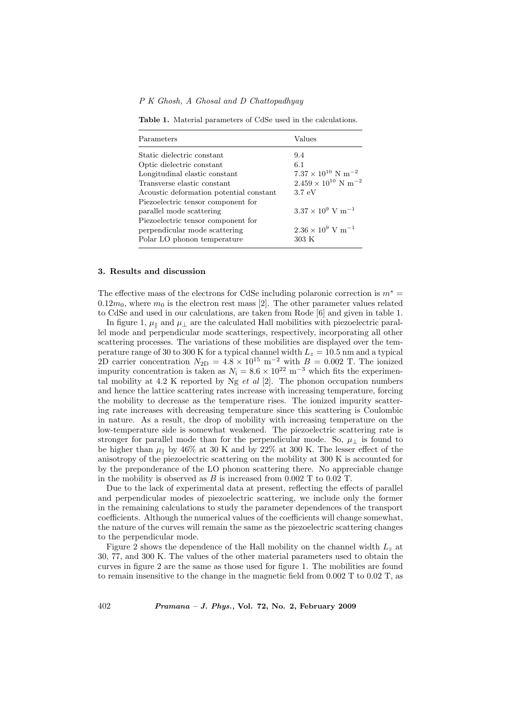P K Ghosh, A Ghosal and D Chattopadhyay

Table 1. Material parameters of CdSe used in the calculations.

| Parameters                              | Values                                   |
|-----------------------------------------|------------------------------------------|
| Static dielectric constant              | 9.4                                      |
| Optic dielectric constant               | 6.1                                      |
| Longitudinal elastic constant           | $7.37\times10^{10}$ N $\mathrm{m}^{-2}$  |
| Transverse elastic constant             | $2.459 \times 10^{10}$ N m <sup>-2</sup> |
| Acoustic deformation potential constant | 3.7 eV                                   |
| Piezoelectric tensor component for      |                                          |
| parallel mode scattering                | $3.37 \times 10^9$ V m <sup>-1</sup>     |
| Piezoelectric tensor component for      |                                          |
| perpendicular mode scattering           | $2.36 \times 10^9$ V m <sup>-1</sup>     |
| Polar LO phonon temperature             | $303\ K$                                 |

#### 3. Results and discussion

The effective mass of the electrons for CdSe including polaronic correction is  $m^* =$  $0.12m_0$ , where  $m_0$  is the electron rest mass [2]. The other parameter values related to CdSe and used in our calculations, are taken from Rode [6] and given in table 1.

In figure 1,  $\mu_{\parallel}$  and  $\mu_{\perp}$  are the calculated Hall mobilities with piezoelectric parallel mode and perpendicular mode scatterings, respectively, incorporating all other scattering processes. The variations of these mobilities are displayed over the temperature range of 30 to 300 K for a typical channel width  $L_z = 10.5$  nm and a typical 2D carrier concentration  $N_{2D} = 4.8 \times 10^{15} \text{ m}^{-2}$  with  $B = 0.002 \text{ T}$ . The ionized impurity concentration is taken as  $N_i = 8.6 \times 10^{22} \text{ m}^{-3}$  which fits the experimental mobility at 4.2 K reported by Ng  $et$  al [2]. The phonon occupation numbers and hence the lattice scattering rates increase with increasing temperature, forcing the mobility to decrease as the temperature rises. The ionized impurity scattering rate increases with decreasing temperature since this scattering is Coulombic in nature. As a result, the drop of mobility with increasing temperature on the low-temperature side is somewhat weakened. The piezoelectric scattering rate is stronger for parallel mode than for the perpendicular mode. So,  $\mu_{\perp}$  is found to be higher than  $\mu_{\parallel}$  by 46% at 30 K and by 22% at 300 K. The lesser effect of the anisotropy of the piezoelectric scattering on the mobility at 300 K is accounted for by the preponderance of the LO phonon scattering there. No appreciable change in the mobility is observed as  $B$  is increased from 0.002 T to 0.02 T.

Due to the lack of experimental data at present, reflecting the effects of parallel and perpendicular modes of piezoelectric scattering, we include only the former in the remaining calculations to study the parameter dependences of the transport coefficients. Although the numerical values of the coefficients will change somewhat, the nature of the curves will remain the same as the piezoelectric scattering changes to the perpendicular mode.

Figure 2 shows the dependence of the Hall mobility on the channel width  $L<sub>z</sub>$  at 30, 77, and 300 K. The values of the other material parameters used to obtain the curves in figure 2 are the same as those used for figure 1. The mobilities are found to remain insensitive to the change in the magnetic field from 0.002 T to 0.02 T, as

402 Pramana – J. Phys., Vol. 72, No. 2, February 2009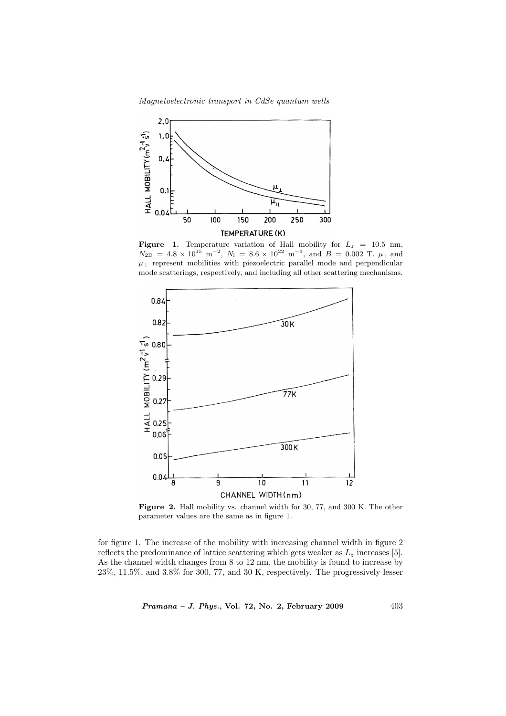Magnetoelectronic transport in CdSe quantum wells



**Figure 1.** Temperature variation of Hall mobility for  $L_z = 10.5$  nm,  $N_{\rm 2D} = 4.8 \times 10^{15} \text{ m}^{-2}$ ,  $N_i = 8.6 \times 10^{22} \text{ m}^{-3}$ , and  $B = 0.002 \text{ T}$ .  $\mu_{\parallel}$  and  $\mu_{\perp}$  represent mobilities with piezoelectric parallel mode and perpendicular mode scatterings, respectively, and including all other scattering mechanisms.



Figure 2. Hall mobility vs. channel width for 30, 77, and 300 K. The other parameter values are the same as in figure 1.

for figure 1. The increase of the mobility with increasing channel width in figure 2 reflects the predominance of lattice scattering which gets weaker as  $L_z$  increases [5]. As the channel width changes from 8 to 12 nm, the mobility is found to increase by 23%, 11.5%, and 3.8% for 300, 77, and 30 K, respectively. The progressively lesser

Pramana – J. Phys., Vol. 72, No. 2, February 2009 403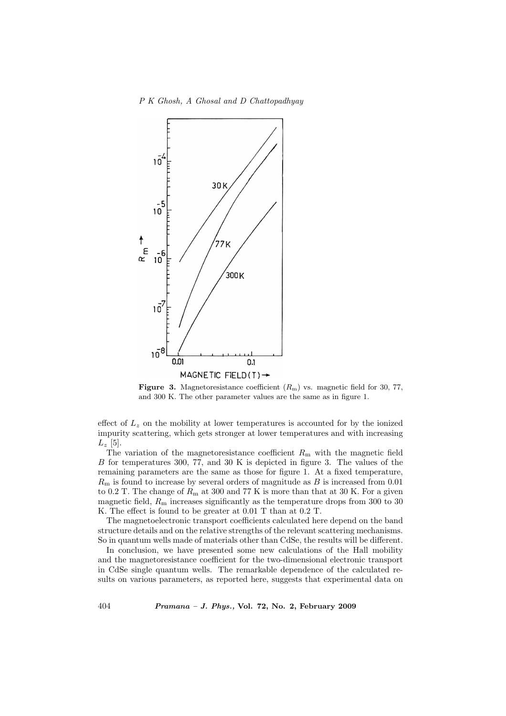#### P K Ghosh, A Ghosal and D Chattopadhyay



**Figure 3.** Magnetoresistance coefficient  $(R_m)$  vs. magnetic field for 30, 77, and 300 K. The other parameter values are the same as in figure 1.

effect of  $L<sub>z</sub>$  on the mobility at lower temperatures is accounted for by the ionized impurity scattering, which gets stronger at lower temperatures and with increasing  $L_z$  [5].

The variation of the magnetoresistance coefficient  $R<sub>m</sub>$  with the magnetic field B for temperatures 300, 77, and 30 K is depicted in figure 3. The values of the remaining parameters are the same as those for figure 1. At a fixed temperature,  $R<sub>m</sub>$  is found to increase by several orders of magnitude as B is increased from 0.01 to 0.2 T. The change of  $R<sub>m</sub>$  at 300 and 77 K is more than that at 30 K. For a given magnetic field,  $R<sub>m</sub>$  increases significantly as the temperature drops from 300 to 30 K. The effect is found to be greater at 0.01 T than at 0.2 T.

The magnetoelectronic transport coefficients calculated here depend on the band structure details and on the relative strengths of the relevant scattering mechanisms. So in quantum wells made of materials other than CdSe, the results will be different.

In conclusion, we have presented some new calculations of the Hall mobility and the magnetoresistance coefficient for the two-dimensional electronic transport in CdSe single quantum wells. The remarkable dependence of the calculated results on various parameters, as reported here, suggests that experimental data on

404 Pramana – J. Phys., Vol. 72, No. 2, February 2009